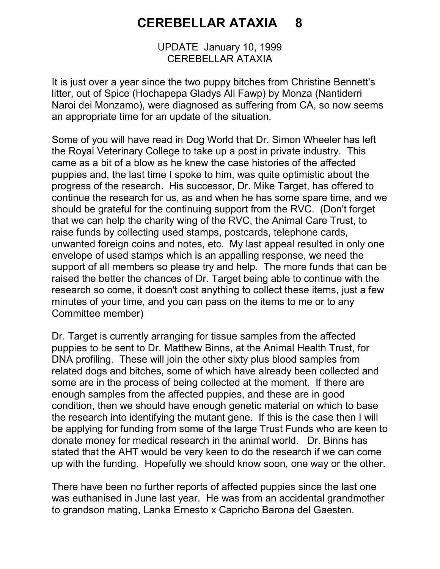## CEREBELLAR ATAXIA 8

UPDATE January 10, 1999 CEREBELLAR ATAXIA

It is just over a year since the two puppy bitches from Christine Bennett's litter, out of Spice (Hochapepa Gladys All Fawp) by Monza (Nantiderri Naroi dei Monzamo), were diagnosed as suffering from CA, so now seems an appropriate time for an update of the situation.

Some of you will have read in Dog World that Dr. Simon Wheeler has left the Royal Veterinary College to take up a post in private industry. This came as a bit of a blow as he knew the case histories of the affected puppies and, the last time I spoke to him, was quite optimistic about the progress of the research. His successor, Dr. Mike Target, has offered to continue the research for us, as and when he has some spare time, and we should be grateful for the continuing support from the RVC. (Don't forget that we can help the charity wing of the RVC, the Animal Care Trust, to raise funds by collecting used stamps, postcards, telephone cards, unwanted foreign coins and notes, etc. My last appeal resulted in only one envelope of used stamps which is an appalling response, we need the support of all members so please try and help. The more funds that can be raised the better the chances of Dr. Target being able to continue with the research so come, it doesn't cost anything to collect these items, just a few minutes of your time, and you can pass on the items to me or to any Committee member)

Dr. Target is currently arranging for tissue samples from the affected puppies to be sent to Dr. Matthew Binns, at the Animal Health Trust, for DNA profiling. These will join the other sixty plus blood samples from related dogs and bitches, some of which have already been collected and some are in the process of being collected at the moment. If there are enough samples from the affected puppies, and these are in good condition, then we should have enough genetic material on which to base the research into identifying the mutant gene. If this is the case then I will be applying for funding from some of the large Trust Funds who are keen to donate money for medical research in the animal world. Dr. Binns has stated that the AHT would be very keen to do the research if we can come up with the funding. Hopefully we should know soon, one way or the other.

There have been no further reports of affected puppies since the last one was euthanised in June last year. He was from an accidental grandmother to grandson mating, Lanka Ernesto x Capricho Barona del Gaesten.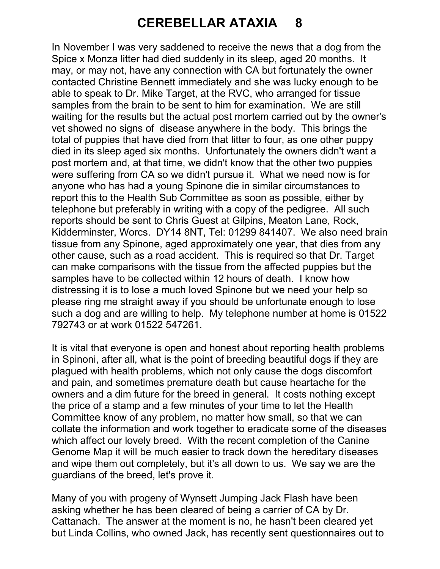## CEREBELLAR ATAXIA 8

In November I was very saddened to receive the news that a dog from the Spice x Monza litter had died suddenly in its sleep, aged 20 months. It may, or may not, have any connection with CA but fortunately the owner contacted Christine Bennett immediately and she was lucky enough to be able to speak to Dr. Mike Target, at the RVC, who arranged for tissue samples from the brain to be sent to him for examination. We are still waiting for the results but the actual post mortem carried out by the owner's vet showed no signs of disease anywhere in the body. This brings the total of puppies that have died from that litter to four, as one other puppy died in its sleep aged six months. Unfortunately the owners didn't want a post mortem and, at that time, we didn't know that the other two puppies were suffering from CA so we didn't pursue it. What we need now is for anyone who has had a young Spinone die in similar circumstances to report this to the Health Sub Committee as soon as possible, either by telephone but preferably in writing with a copy of the pedigree. All such reports should be sent to Chris Guest at Gilpins, Meaton Lane, Rock, Kidderminster, Worcs. DY14 8NT, Tel: 01299 841407. We also need brain tissue from any Spinone, aged approximately one year, that dies from any other cause, such as a road accident. This is required so that Dr. Target can make comparisons with the tissue from the affected puppies but the samples have to be collected within 12 hours of death. I know how distressing it is to lose a much loved Spinone but we need your help so please ring me straight away if you should be unfortunate enough to lose such a dog and are willing to help. My telephone number at home is 01522 792743 or at work 01522 547261.

It is vital that everyone is open and honest about reporting health problems in Spinoni, after all, what is the point of breeding beautiful dogs if they are plagued with health problems, which not only cause the dogs discomfort and pain, and sometimes premature death but cause heartache for the owners and a dim future for the breed in general. It costs nothing except the price of a stamp and a few minutes of your time to let the Health Committee know of any problem, no matter how small, so that we can collate the information and work together to eradicate some of the diseases which affect our lovely breed. With the recent completion of the Canine Genome Map it will be much easier to track down the hereditary diseases and wipe them out completely, but it's all down to us. We say we are the guardians of the breed, let's prove it.

Many of you with progeny of Wynsett Jumping Jack Flash have been asking whether he has been cleared of being a carrier of CA by Dr. Cattanach. The answer at the moment is no, he hasn't been cleared yet but Linda Collins, who owned Jack, has recently sent questionnaires out to